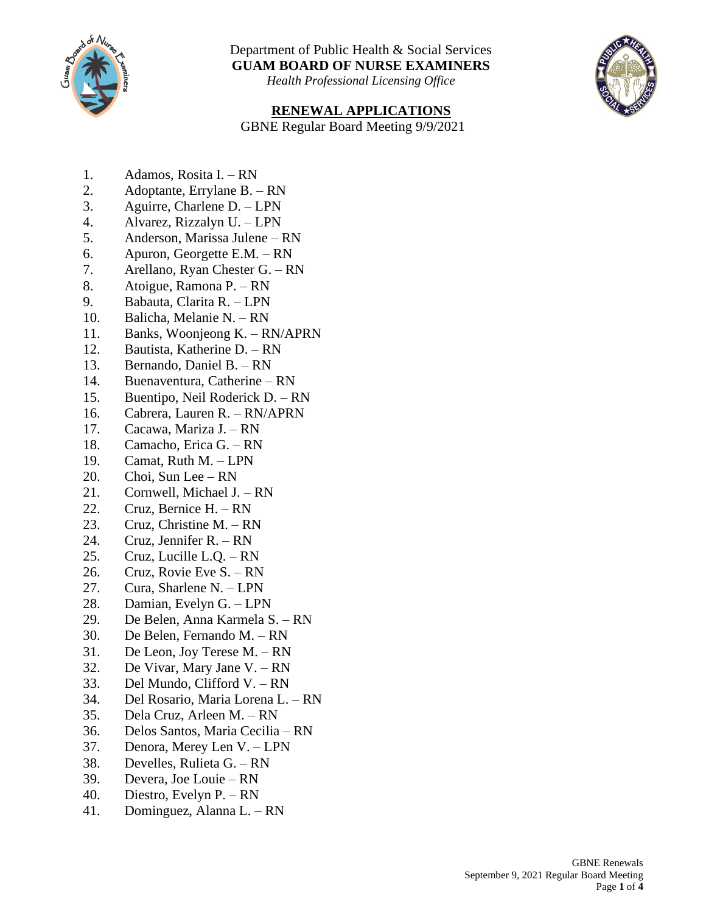

Department of Public Health & Social Services **GUAM BOARD OF NURSE EXAMINERS**

*Health Professional Licensing Office*

## **RENEWAL APPLICATIONS**

GBNE Regular Board Meeting 9/9/2021

- 1. Adamos, Rosita I. RN
- 2. Adoptante, Errylane B. RN
- 3. Aguirre, Charlene D. LPN
- 4. Alvarez, Rizzalyn U. LPN
- 5. Anderson, Marissa Julene RN
- 6. Apuron, Georgette E.M. RN
- 7. Arellano, Ryan Chester G. RN
- 8. Atoigue, Ramona P. RN
- 9. Babauta, Clarita R. LPN
- 10. Balicha, Melanie N. RN
- 11. Banks, Woonjeong K. RN/APRN
- 12. Bautista, Katherine D. RN
- 13. Bernando, Daniel B. RN
- 14. Buenaventura, Catherine RN
- 15. Buentipo, Neil Roderick D. RN
- 16. Cabrera, Lauren R. RN/APRN
- 17. Cacawa, Mariza J. RN
- 18. Camacho, Erica G. RN
- 19. Camat, Ruth M. LPN
- 20. Choi, Sun Lee RN
- 21. Cornwell, Michael J. RN
- 22. Cruz, Bernice H. RN
- 23. Cruz, Christine M. RN
- 24. Cruz, Jennifer R. RN
- 25. Cruz, Lucille L.Q. RN
- 26. Cruz, Rovie Eve S. RN
- 27. Cura, Sharlene N. LPN
- 28. Damian, Evelyn G. LPN
- 29. De Belen, Anna Karmela S. RN
- 30. De Belen, Fernando M. RN
- 31. De Leon, Joy Terese M. RN
- 32. De Vivar, Mary Jane V. RN
- 33. Del Mundo, Clifford V. RN
- 34. Del Rosario, Maria Lorena L. RN
- 35. Dela Cruz, Arleen M. RN
- 36. Delos Santos, Maria Cecilia RN
- 37. Denora, Merey Len V. LPN
- 38. Develles, Rulieta G. RN
- 39. Devera, Joe Louie RN
- 40. Diestro, Evelyn P. RN
- 41. Dominguez, Alanna L. RN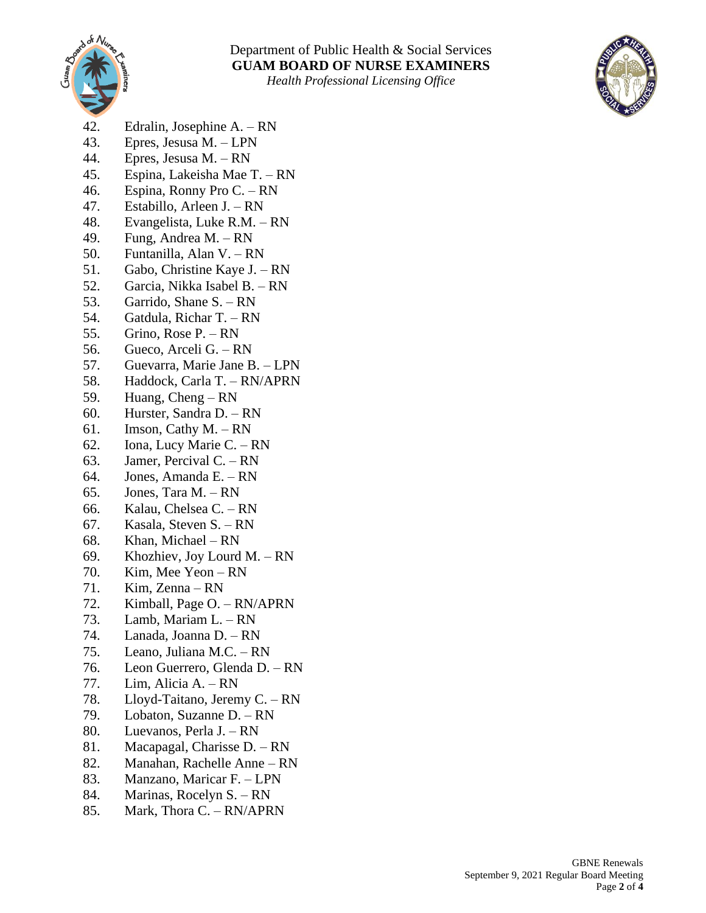

*Health Professional Licensing Office*



- 42. Edralin, Josephine A. RN
- 43. Epres, Jesusa M. LPN
- 44. Epres, Jesusa M. RN
- 45. Espina, Lakeisha Mae T. RN
- 46. Espina, Ronny Pro C. RN
- 47. Estabillo, Arleen J. RN
- 48. Evangelista, Luke R.M. RN
- 49. Fung, Andrea M. RN
- 50. Funtanilla, Alan V. RN
- 51. Gabo, Christine Kaye J. RN
- 52. Garcia, Nikka Isabel B. RN
- 53. Garrido, Shane S. RN
- 54. Gatdula, Richar T. RN
- 55. Grino, Rose P. RN
- 56. Gueco, Arceli G. RN
- 57. Guevarra, Marie Jane B. LPN
- 58. Haddock, Carla T. RN/APRN
- 59. Huang, Cheng RN
- 60. Hurster, Sandra D. RN
- 61. Imson, Cathy M. RN
- 62. Iona, Lucy Marie C. RN
- 63. Jamer, Percival C. RN
- 64. Jones, Amanda E. RN
- 65. Jones, Tara M. RN
- 66. Kalau, Chelsea C. RN
- 67. Kasala, Steven S. RN
- 68. Khan, Michael RN
- 69. Khozhiev, Joy Lourd M. RN
- 70. Kim, Mee Yeon RN
- 71. Kim, Zenna RN
- 72. Kimball, Page O. RN/APRN
- 73. Lamb, Mariam L. RN
- 74. Lanada, Joanna D. RN
- 75. Leano, Juliana M.C. RN
- 76. Leon Guerrero, Glenda D. RN
- 77. Lim, Alicia A. RN
- 78. Lloyd-Taitano, Jeremy C. RN
- 79. Lobaton, Suzanne D. RN
- 80. Luevanos, Perla J. RN
- 81. Macapagal, Charisse D. RN
- 82. Manahan, Rachelle Anne RN
- 83. Manzano, Maricar F. LPN
- 84. Marinas, Rocelyn S. RN
- 85. Mark, Thora C. RN/APRN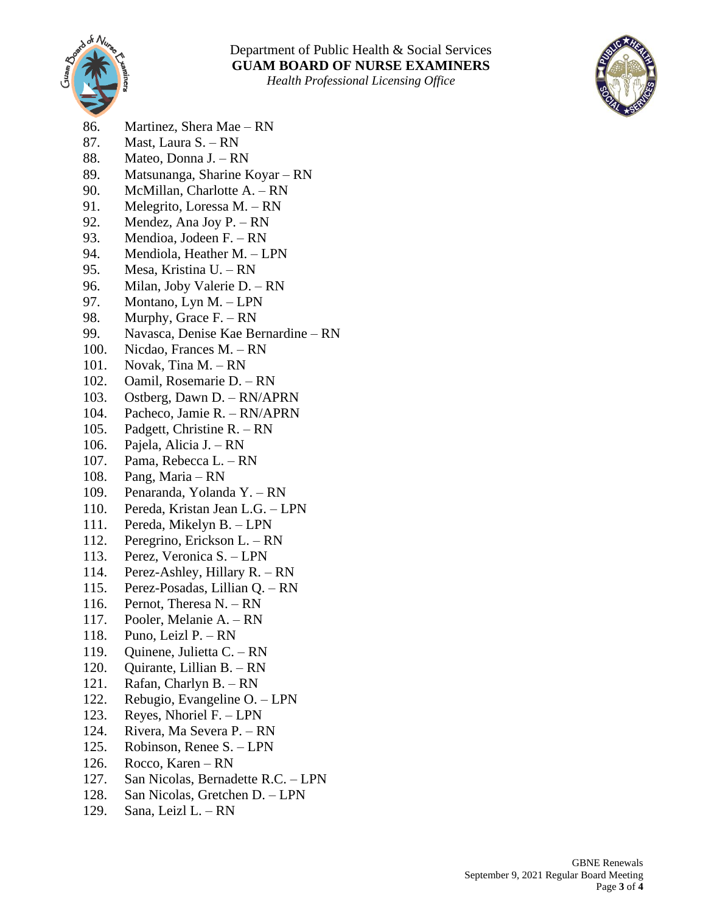

## Department of Public Health & Social Services **GUAM BOARD OF NURSE EXAMINERS**

*Health Professional Licensing Office*



- 86. Martinez, Shera Mae RN
- 87. Mast, Laura S. RN
- 88. Mateo, Donna J. RN
- 89. Matsunanga, Sharine Koyar RN
- 90. McMillan, Charlotte A. RN
- 91. Melegrito, Loressa M. RN
- 92. Mendez, Ana Joy P. RN
- 93. Mendioa, Jodeen F. RN
- 94. Mendiola, Heather M. LPN
- 95. Mesa, Kristina U. RN
- 96. Milan, Joby Valerie D. RN
- 97. Montano, Lyn M. LPN
- 98. Murphy, Grace F. RN
- 99. Navasca, Denise Kae Bernardine RN
- 100. Nicdao, Frances M. RN
- 101. Novak, Tina M. RN
- 102. Oamil, Rosemarie D. RN
- 103. Ostberg, Dawn D. RN/APRN
- 104. Pacheco, Jamie R. RN/APRN
- 105. Padgett, Christine R. RN
- 106. Pajela, Alicia J. RN
- 107. Pama, Rebecca L. RN
- 108. Pang, Maria RN
- 109. Penaranda, Yolanda Y. RN
- 110. Pereda, Kristan Jean L.G. LPN
- 111. Pereda, Mikelyn B. LPN
- 112. Peregrino, Erickson L. RN
- 113. Perez, Veronica S. LPN
- 114. Perez-Ashley, Hillary R. RN
- 115. Perez-Posadas, Lillian Q. RN
- 116. Pernot, Theresa N. RN
- 117. Pooler, Melanie A. RN
- 118. Puno, Leizl P. RN
- 119. Quinene, Julietta C. RN
- 120. Quirante, Lillian B. RN
- 121. Rafan, Charlyn B. RN
- 122. Rebugio, Evangeline O. LPN
- 123. Reyes, Nhoriel F. LPN
- 124. Rivera, Ma Severa P. RN
- 125. Robinson, Renee S. LPN
- 126. Rocco, Karen RN
- 127. San Nicolas, Bernadette R.C. LPN
- 128. San Nicolas, Gretchen D. LPN
- 129. Sana, Leizl L. RN